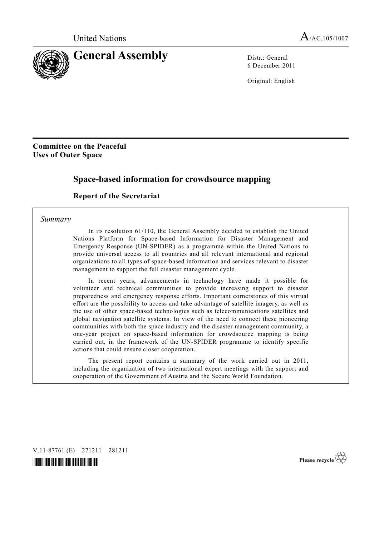

6 December 2011

Original: English

## **Committee on the Peaceful Uses of Outer Space**

# **Space-based information for crowdsource mapping**

## **Report of the Secretariat**

#### *Summary*

 In its resolution 61/110, the General Assembly decided to establish the United Nations Platform for Space-based Information for Disaster Management and Emergency Response (UN-SPIDER) as a programme within the United Nations to provide universal access to all countries and all relevant international and regional organizations to all types of space-based information and services relevant to disaster management to support the full disaster management cycle.

 In recent years, advancements in technology have made it possible for volunteer and technical communities to provide increasing support to disaster preparedness and emergency response efforts. Important cornerstones of this virtual effort are the possibility to access and take advantage of satellite imagery, as well as the use of other space-based technologies such as telecommunications satellites and global navigation satellite systems. In view of the need to connect these pioneering communities with both the space industry and the disaster management community, a one-year project on space-based information for crowdsource mapping is being carried out, in the framework of the UN-SPIDER programme to identify specific actions that could ensure closer cooperation.

 The present report contains a summary of the work carried out in 2011, including the organization of two international expert meetings with the support and cooperation of the Government of Austria and the Secure World Foundation.

V.11-87761 (E) 271211 281211



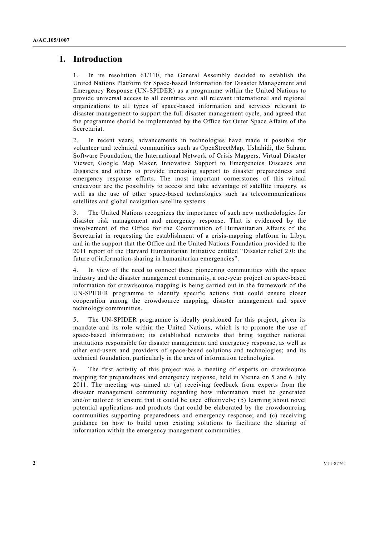# **I. Introduction**

1. In its resolution 61/110, the General Assembly decided to establish the United Nations Platform for Space-based Information for Disaster Management and Emergency Response (UN-SPIDER) as a programme within the United Nations to provide universal access to all countries and all relevant international and regional organizations to all types of space-based information and services relevant to disaster management to support the full disaster management cycle, and agreed that the programme should be implemented by the Office for Outer Space Affairs of the Secretariat.

2. In recent years, advancements in technologies have made it possible for volunteer and technical communities such as OpenStreetMap, Ushahidi, the Sahana Software Foundation, the International Network of Crisis Mappers, Virtual Disaster Viewer, Google Map Maker, Innovative Support to Emergencies Diseases and Disasters and others to provide increasing support to disaster preparedness and emergency response efforts. The most important cornerstones of this virtual endeavour are the possibility to access and take advantage of satellite imagery, as well as the use of other space-based technologies such as telecommunications satellites and global navigation satellite systems.

3. The United Nations recognizes the importance of such new methodologies for disaster risk management and emergency response. That is evidenced by the involvement of the Office for the Coordination of Humanitarian Affairs of the Secretariat in requesting the establishment of a crisis-mapping platform in Libya and in the support that the Office and the United Nations Foundation provided to the 2011 report of the Harvard Humanitarian Initiative entitled "Disaster relief 2.0: the future of information-sharing in humanitarian emergencies".

4. In view of the need to connect these pioneering communities with the space industry and the disaster management community, a one-year project on space-based information for crowdsource mapping is being carried out in the framework of the UN-SPIDER programme to identify specific actions that could ensure closer cooperation among the crowdsource mapping, disaster management and space technology communities.

5. The UN-SPIDER programme is ideally positioned for this project, given its mandate and its role within the United Nations, which is to promote the use of space-based information; its established networks that bring together national institutions responsible for disaster management and emergency response, as well as other end-users and providers of space-based solutions and technologies; and its technical foundation, particularly in the area of information technologies.

6. The first activity of this project was a meeting of experts on crowdsource mapping for preparedness and emergency response, held in Vienna on 5 and 6 July 2011. The meeting was aimed at: (a) receiving feedback from experts from the disaster management community regarding how information must be generated and/or tailored to ensure that it could be used effectively; (b) learning about novel potential applications and products that could be elaborated by the crowdsourcing communities supporting preparedness and emergency response; and (c) receiving guidance on how to build upon existing solutions to facilitate the sharing of information within the emergency management communities.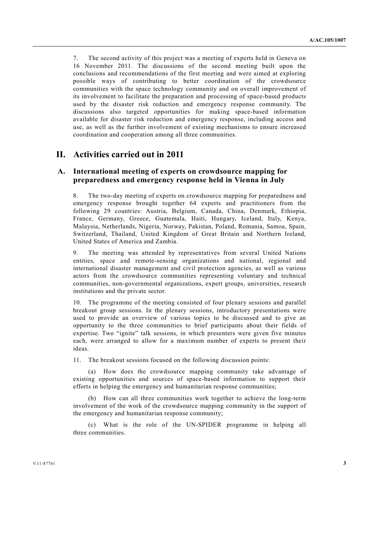7. The second activity of this project was a meeting of experts held in Geneva on 16 November 2011. The discussions of the second meeting built upon the conclusions and recommendations of the first meeting and were aimed at exploring possible ways of contributing to better coordination of the crowdsource communities with the space technology community and on overall improvement of its involvement to facilitate the preparation and processing of space-based products used by the disaster risk reduction and emergency response community. The discussions also targeted opportunities for making space-based information available for disaster risk reduction and emergency response, including access and use, as well as the further involvement of existing mechanisms to ensure increased coordination and cooperation among all three communities.

# **II. Activities carried out in 2011**

### **A. International meeting of experts on crowdsource mapping for preparedness and emergency response held in Vienna in July**

8. The two-day meeting of experts on crowdsource mapping for preparedness and emergency response brought together 64 experts and practitioners from the following 29 countries: Austria, Belgium, Canada, China, Denmark, Ethiopia, France, Germany, Greece, Guatemala, Haiti, Hungary, Iceland, Italy, Kenya, Malaysia, Netherlands, Nigeria, Norway, Pakistan, Poland, Romania, Samoa, Spain, Switzerland, Thailand, United Kingdom of Great Britain and Northern Ireland, United States of America and Zambia.

9. The meeting was attended by representatives from several United Nations entities, space and remote-sensing organizations and national, regional and international disaster management and civil protection agencies, as well as various actors from the crowdsource communities representing voluntary and technical communities, non-governmental organizations, expert groups, universities, research institutions and the private sector.

10. The programme of the meeting consisted of four plenary sessions and parallel breakout group sessions. In the plenary sessions, introductory presentations were used to provide an overview of various topics to be discussed and to give an opportunity to the three communities to brief participants about their fields of expertise. Two "ignite" talk sessions, in which presenters were given five minutes each, were arranged to allow for a maximum number of experts to present their ideas.

11. The breakout sessions focused on the following discussion points:

 (a) How does the crowdsource mapping community take advantage of existing opportunities and sources of space-based information to support their efforts in helping the emergency and humanitarian response communities;

 (b) How can all three communities work together to achieve the long-term involvement of the work of the crowdsource mapping community in the support of the emergency and humanitarian response community;

 (c) What is the role of the UN-SPIDER programme in helping all three communities.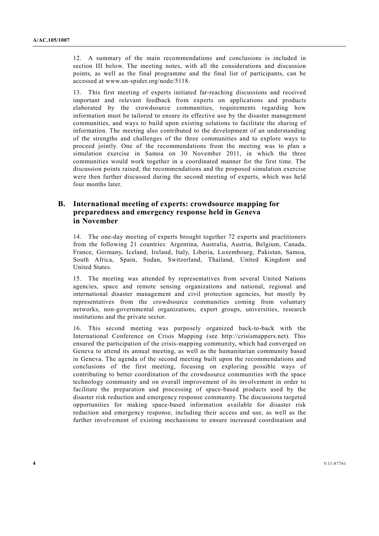12. A summary of the main recommendations and conclusions is included in section III below. The meeting notes, with all the considerations and discussion points, as well as the final programme and the final list of participants, can be accessed at www.un-spider.org/node/5118.

13. This first meeting of experts initiated far-reaching discussions and received important and relevant feedback from experts on applications and products elaborated by the crowdsource communities, requirements regarding how information must be tailored to ensure its effective use by the disaster management communities, and ways to build upon existing solutions to facilitate the sharing of information. The meeting also contributed to the development of an understanding of the strengths and challenges of the three communities and to explore ways to proceed jointly. One of the recommendations from the meeting was to plan a simulation exercise in Samoa on 30 November 2011, in which the three communities would work together in a coordinated manner for the first time. The discussion points raised, the recommendations and the proposed simulation exercise were then further discussed during the second meeting of experts, which was held four months later.

### **B. International meeting of experts: crowdsource mapping for preparedness and emergency response held in Geneva in November**

14. The one-day meeting of experts brought together 72 experts and practitioners from the following 21 countries: Argentina, Australia, Austria, Belgium, Canada, France, Germany, Iceland, Ireland, Italy, Liberia, Luxembourg, Pakistan, Samoa, South Africa, Spain, Sudan, Switzerland, Thailand, United Kingdom and United States.

15. The meeting was attended by representatives from several United Nations agencies, space and remote sensing organizations and national, regional and international disaster management and civil protection agencies, but mostly by representatives from the crowdsource communities coming from voluntary networks, non-governmental organizations, expert groups, universities, research institutions and the private sector.

16. This second meeting was purposely organized back-to-back with the International Conference on Crisis Mapping (see http://crisismappers.net). This ensured the participation of the crisis-mapping community, which had converged on Geneva to attend its annual meeting, as well as the humanitarian community based in Geneva. The agenda of the second meeting built upon the recommendations and conclusions of the first meeting, focusing on exploring possible ways of contributing to better coordination of the crowdsource communities with the space technology community and on overall improvement of its involvement in order to facilitate the preparation and processing of space-based products used by the disaster risk reduction and emergency response community. The discussions targeted opportunities for making space-based information available for disaster risk reduction and emergency response, including their access and use, as well as the further involvement of existing mechanisms to ensure increased coordination and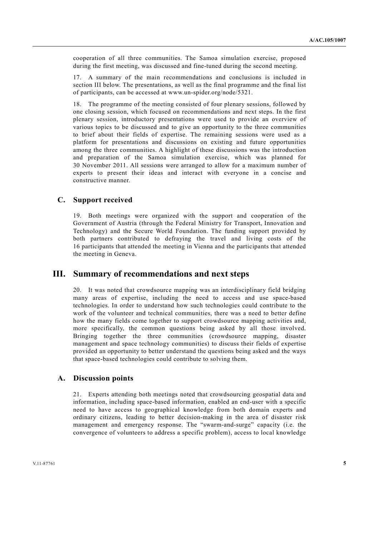cooperation of all three communities. The Samoa simulation exercise, proposed during the first meeting, was discussed and fine-tuned during the second meeting.

17. A summary of the main recommendations and conclusions is included in section III below. The presentations, as well as the final programme and the final list of participants, can be accessed at www.un-spider.org/node/5321.

18. The programme of the meeting consisted of four plenary sessions, followed by one closing session, which focused on recommendations and next steps. In the first plenary session, introductory presentations were used to provide an overview of various topics to be discussed and to give an opportunity to the three communities to brief about their fields of expertise. The remaining sessions were used as a platform for presentations and discussions on existing and future opportunities among the three communities. A highlight of these discussions was the introduction and preparation of the Samoa simulation exercise, which was planned for 30 November 2011. All sessions were arranged to allow for a maximum number of experts to present their ideas and interact with everyone in a concise and constructive manner.

## **C. Support received**

19. Both meetings were organized with the support and cooperation of the Government of Austria (through the Federal Ministry for Transport, Innovation and Technology) and the Secure World Foundation. The funding support provided by both partners contributed to defraying the travel and living costs of the 16 participants that attended the meeting in Vienna and the participants that attended the meeting in Geneva.

## **III. Summary of recommendations and next steps**

20. It was noted that crowdsource mapping was an interdisciplinary field bridging many areas of expertise, including the need to access and use space-based technologies. In order to understand how such technologies could contribute to the work of the volunteer and technical communities, there was a need to better define how the many fields come together to support crowdsource mapping activities and, more specifically, the common questions being asked by all those involved. Bringing together the three communities (crowdsource mapping, disaster management and space technology communities) to discuss their fields of expertise provided an opportunity to better understand the questions being asked and the ways that space-based technologies could contribute to solving them.

### **A. Discussion points**

21. Experts attending both meetings noted that crowdsourcing geospatial data and information, including space-based information, enabled an end-user with a specific need to have access to geographical knowledge from both domain experts and ordinary citizens, leading to better decision-making in the area of disaster risk management and emergency response. The "swarm-and-surge" capacity (i.e. the convergence of volunteers to address a specific problem), access to local knowledge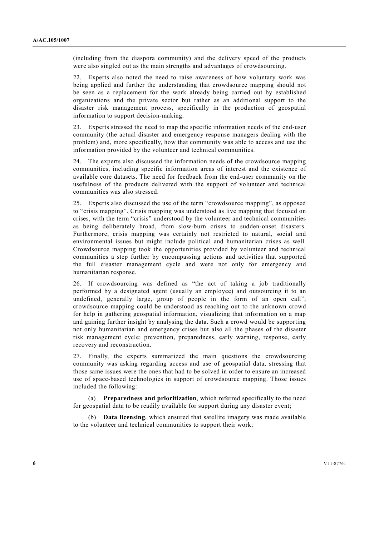(including from the diaspora community) and the delivery speed of the products were also singled out as the main strengths and advantages of crowdsourcing.

22. Experts also noted the need to raise awareness of how voluntary work was being applied and further the understanding that crowdsource mapping should not be seen as a replacement for the work already being carried out by established organizations and the private sector but rather as an additional support to the disaster risk management process, specifically in the production of geospatial information to support decision-making.

23. Experts stressed the need to map the specific information needs of the end-user community (the actual disaster and emergency response managers dealing with the problem) and, more specifically, how that community was able to access and use the information provided by the volunteer and technical communities.

24. The experts also discussed the information needs of the crowdsource mapping communities, including specific information areas of interest and the existence of available core datasets. The need for feedback from the end-user community on the usefulness of the products delivered with the support of volunteer and technical communities was also stressed.

25. Experts also discussed the use of the term "crowdsource mapping", as opposed to "crisis mapping". Crisis mapping was understood as live mapping that focused on crises, with the term "crisis" understood by the volunteer and technical communities as being deliberately broad, from slow-burn crises to sudden-onset disasters. Furthermore, crisis mapping was certainly not restricted to natural, social and environmental issues but might include political and humanitarian crises as well. Crowdsource mapping took the opportunities provided by volunteer and technical communities a step further by encompassing actions and activities that supported the full disaster management cycle and were not only for emergency and humanitarian response.

26. If crowdsourcing was defined as "the act of taking a job traditionally performed by a designated agent (usually an employee) and outsourcing it to an undefined, generally large, group of people in the form of an open call", crowdsource mapping could be understood as reaching out to the unknown crowd for help in gathering geospatial information, visualizing that information on a map and gaining further insight by analysing the data. Such a crowd would be supporting not only humanitarian and emergency crises but also all the phases of the disaster risk management cycle: prevention, preparedness, early warning, response, early recovery and reconstruction.

27. Finally, the experts summarized the main questions the crowdsourcing community was asking regarding access and use of geospatial data, stressing that those same issues were the ones that had to be solved in order to ensure an increased use of space-based technologies in support of crowdsource mapping. Those issues included the following:

 (a) **Preparedness and prioritization**, which referred specifically to the need for geospatial data to be readily available for support during any disaster event;

 (b) **Data licensing**, which ensured that satellite imagery was made available to the volunteer and technical communities to support their work;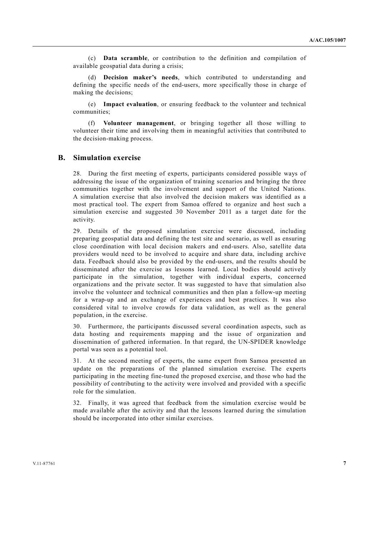(c) **Data scramble**, or contribution to the definition and compilation of available geospatial data during a crisis;

Decision maker's needs, which contributed to understanding and defining the specific needs of the end-users, more specifically those in charge of making the decisions;

 (e) **Impact evaluation**, or ensuring feedback to the volunteer and technical communities;

 (f) **Volunteer management**, or bringing together all those willing to volunteer their time and involving them in meaningful activities that contributed to the decision-making process.

#### **B. Simulation exercise**

28. During the first meeting of experts, participants considered possible ways of addressing the issue of the organization of training scenarios and bringing the three communities together with the involvement and support of the United Nations. A simulation exercise that also involved the decision makers was identified as a most practical tool. The expert from Samoa offered to organize and host such a simulation exercise and suggested 30 November 2011 as a target date for the activity.

29. Details of the proposed simulation exercise were discussed, including preparing geospatial data and defining the test site and scenario, as well as ensuring close coordination with local decision makers and end-users. Also, satellite data providers would need to be involved to acquire and share data, including archive data. Feedback should also be provided by the end-users, and the results should be disseminated after the exercise as lessons learned. Local bodies should actively participate in the simulation, together with individual experts, concerned organizations and the private sector. It was suggested to have that simulation also involve the volunteer and technical communities and then plan a follow-up meeting for a wrap-up and an exchange of experiences and best practices. It was also considered vital to involve crowds for data validation, as well as the general population, in the exercise.

30. Furthermore, the participants discussed several coordination aspects, such as data hosting and requirements mapping and the issue of organization and dissemination of gathered information. In that regard, the UN-SPIDER knowledge portal was seen as a potential tool.

31. At the second meeting of experts, the same expert from Samoa presented an update on the preparations of the planned simulation exercise. The experts participating in the meeting fine-tuned the proposed exercise, and those who had the possibility of contributing to the activity were involved and provided with a specific role for the simulation.

32. Finally, it was agreed that feedback from the simulation exercise would be made available after the activity and that the lessons learned during the simulation should be incorporated into other similar exercises.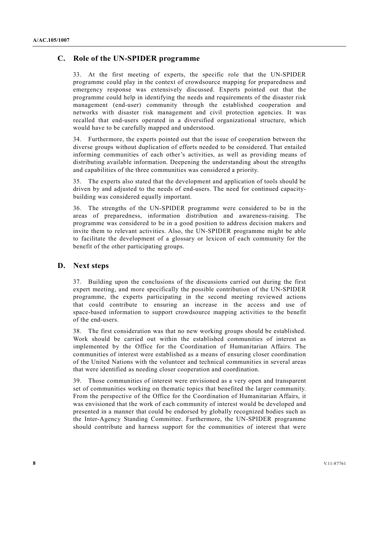### **C. Role of the UN-SPIDER programme**

33. At the first meeting of experts, the specific role that the UN-SPIDER programme could play in the context of crowdsource mapping for preparedness and emergency response was extensively discussed. Experts pointed out that the programme could help in identifying the needs and requirements of the disaster risk management (end-user) community through the established cooperation and networks with disaster risk management and civil protection agencies. It was recalled that end-users operated in a diversified organizational structure, which would have to be carefully mapped and understood.

34. Furthermore, the experts pointed out that the issue of cooperation between the diverse groups without duplication of efforts needed to be considered. That entailed informing communities of each other's activities, as well as providing means of distributing available information. Deepening the understanding about the strengths and capabilities of the three communities was considered a priority.

35. The experts also stated that the development and application of tools should be driven by and adjusted to the needs of end-users. The need for continued capacitybuilding was considered equally important.

36. The strengths of the UN-SPIDER programme were considered to be in the areas of preparedness, information distribution and awareness-raising. The programme was considered to be in a good position to address decision makers and invite them to relevant activities. Also, the UN-SPIDER programme might be able to facilitate the development of a glossary or lexicon of each community for the benefit of the other participating groups.

#### **D. Next steps**

37. Building upon the conclusions of the discussions carried out during the first expert meeting, and more specifically the possible contribution of the UN-SPIDER programme, the experts participating in the second meeting reviewed actions that could contribute to ensuring an increase in the access and use of space-based information to support crowdsource mapping activities to the benefit of the end-users.

38. The first consideration was that no new working groups should be established. Work should be carried out within the established communities of interest as implemented by the Office for the Coordination of Humanitarian Affairs. The communities of interest were established as a means of ensuring closer coordination of the United Nations with the volunteer and technical communities in several areas that were identified as needing closer cooperation and coordination.

39. Those communities of interest were envisioned as a very open and transparent set of communities working on thematic topics that benefited the larger community. From the perspective of the Office for the Coordination of Humanitarian Affairs, it was envisioned that the work of each community of interest would be developed and presented in a manner that could be endorsed by globally recognized bodies such as the Inter-Agency Standing Committee. Furthermore, the UN-SPIDER programme should contribute and harness support for the communities of interest that were